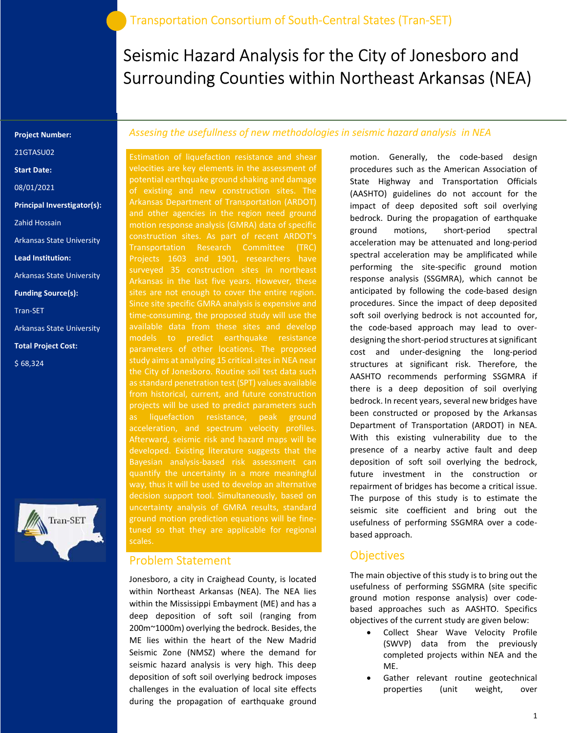# Seismic Hazard Analysis for the City of Jonesboro and Surrounding Counties within Northeast Arkansas (NEA)

#### Project Number:

21GTASU02

Start Date:

08/01/2021

Principal Inverstigator(s):

Zahid Hossain

Arkansas State University

Lead Institution:

Arkansas State University

Funding Source(s):

Tran-SET

Arkansas State University

Total Project Cost:

\$ 68,324



#### Assesing the usefullness of new methodologies in seismic hazard analysis in NEA

Estimation of liquefaction resistance and shear velocities are key elements in the assessment of potential earthquake ground shaking and damage of existing and new construction sites. The Arkansas Department of Transportation (ARDOT) and other agencies in the region need ground construction sites. As part of recent ARDOT's Transportation Research Committee (TRC) Projects 1603 and 1901, researchers have Arkansas in the last five years. However, these sites are not enough to cover the entire region. time-consuming, the proposed study will use the available data from these sites and develop models to predict earthquake resistance parameters of other locations. The proposed study aims at analyzing 15 critical sites in NEA near the City of Jonesboro. Routine soil test data such as standard penetration test (SPT) values available from historical, current, and future construction projects will be used to predict parameters such as liquefaction resistance, peak ground Afterward, seismic risk and hazard maps will be developed. Existing literature suggests that the quantify the uncertainty in a more meaningful decision support tool. Simultaneously, based on uncertainty analysis of GMRA results, standard ground motion prediction equations will be finetuned so that they are applicable for regional scales.

#### Problem Statement

Jonesboro, a city in Craighead County, is located within Northeast Arkansas (NEA). The NEA lies within the Mississippi Embayment (ME) and has a deep deposition of soft soil (ranging from 200m~1000m) overlying the bedrock. Besides, the ME lies within the heart of the New Madrid Seismic Zone (NMSZ) where the demand for seismic hazard analysis is very high. This deep deposition of soft soil overlying bedrock imposes challenges in the evaluation of local site effects during the propagation of earthquake ground

motion. Generally, the code-based design procedures such as the American Association of State Highway and Transportation Officials (AASHTO) guidelines do not account for the impact of deep deposited soft soil overlying bedrock. During the propagation of earthquake ground motions, short-period spectral acceleration may be attenuated and long-period spectral acceleration may be amplificated while performing the site-specific ground motion response analysis (SSGMRA), which cannot be anticipated by following the code-based design procedures. Since the impact of deep deposited soft soil overlying bedrock is not accounted for, the code-based approach may lead to overdesigning the short-period structures at significant cost and under-designing the long-period structures at significant risk. Therefore, the AASHTO recommends performing SSGMRA if there is a deep deposition of soil overlying bedrock. In recent years, several new bridges have been constructed or proposed by the Arkansas Department of Transportation (ARDOT) in NEA. With this existing vulnerability due to the presence of a nearby active fault and deep deposition of soft soil overlying the bedrock, future investment in the construction or repairment of bridges has become a critical issue. The purpose of this study is to estimate the seismic site coefficient and bring out the usefulness of performing SSGMRA over a codebased approach.

#### **Objectives**

The main objective of this study is to bring out the usefulness of performing SSGMRA (site specific ground motion response analysis) over codebased approaches such as AASHTO. Specifics objectives of the current study are given below:

- Collect Shear Wave Velocity Profile (SWVP) data from the previously completed projects within NEA and the ME.
- Gather relevant routine geotechnical properties (unit weight, over